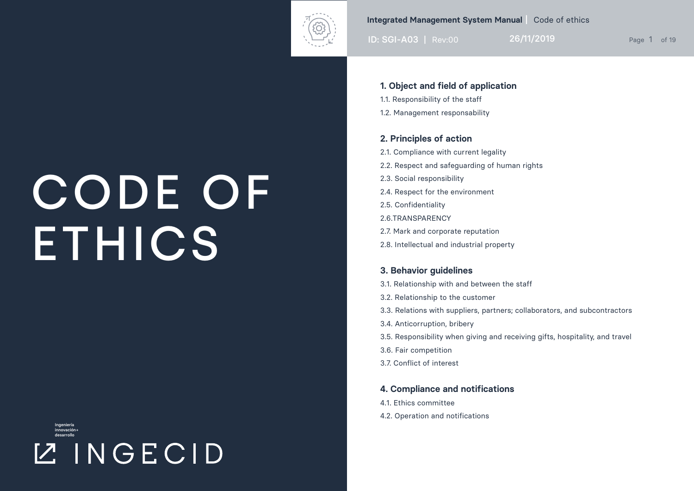

ID: SGI-A03 | Rev:00 26/11/2019

### **1. Object and field of application**

- 1.1. Responsibility of the staff
- 1.2. Management responsability

### **2. Principles of action**

- 2.1. Compliance with current legality 2.2. Respect and safeguarding of human rights 2.3. Social responsibility 2.4. Respect for the environment 2.5. Confidentiality
- 2.6.TRANSPARENCY
- 2.7. Mark and corporate reputation
- 2.8. Intellectual and industrial property

### **3. Behavior guidelines**

- 3.1. Relationship with and between the staff
- 3.2. Relationship to the customer
- 3.3. Relations with suppliers, partners; collaborators, and subcontractors
- 3.4. Anticorruption, bribery
- 3.5. Responsibility when giving and receiving gifts, hospitality, and travel
- 3.6. Fair competition
- 3.7. Conflict of interest

#### **4. Compliance and notifications**

- 4.1. Ethics committee
- 4.2. Operation and notifications

## CODE OF **ETHICS**

Ingeniería innovación+ desarrollo

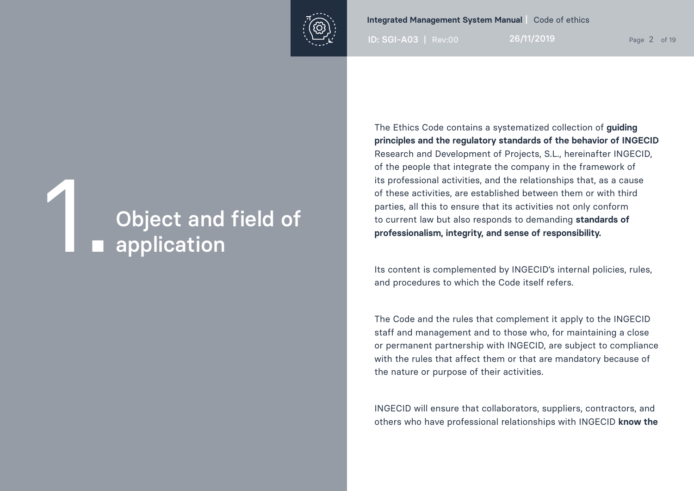

ID: SGI-A03 | Rev:00 26/11/2019 Page 2 of 19

## Object and field of<br>**1.** application

The Ethics Code contains a systematized collection of **guiding principles and the regulatory standards of the behavior of INGECID** Research and Development of Projects, S.L., hereinafter INGECID, of the people that integrate the company in the framework of its professional activities, and the relationships that, as a cause of these activities, are established between them or with third parties, all this to ensure that its activities not only conform to current law but also responds to demanding **standards of professionalism, integrity, and sense of responsibility.** 

Its content is complemented by INGECID's internal policies, rules, and procedures to which the Code itself refers.

The Code and the rules that complement it apply to the INGECID staff and management and to those who, for maintaining a close or permanent partnership with INGECID, are subject to compliance with the rules that affect them or that are mandatory because of the nature or purpose of their activities.

INGECID will ensure that collaborators, suppliers, contractors, and others who have professional relationships with INGECID **know the**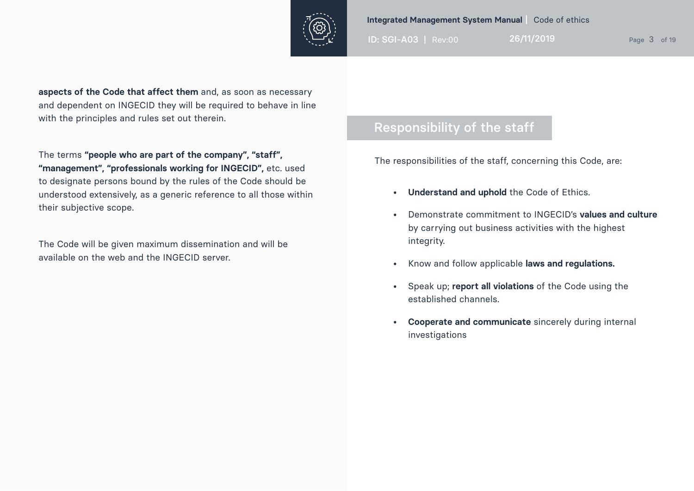

ID: SGI-A03 | Rev:00 26/11/2019 Page 3 of 19

**aspects of the Code that affect them** and, as soon as necessary and dependent on INGECID they will be required to behave in line with the principles and rules set out therein.

The terms **"people who are part of the company", "staff", "management", "professionals working for INGECID",** etc. used to designate persons bound by the rules of the Code should be understood extensively, as a generic reference to all those within their subjective scope.

The Code will be given maximum dissemination and will be available on the web and the INGECID server.

### Responsibility of the staff

The responsibilities of the staff, concerning this Code, are:

- **• Understand and uphold** the Code of Ethics.
- Demonstrate commitment to INGECID's **values and culture** by carrying out business activities with the highest integrity.
- Know and follow applicable **laws and regulations.**
- Speak up; **report all violations** of the Code using the established channels.
- **• Cooperate and communicate** sincerely during internal investigations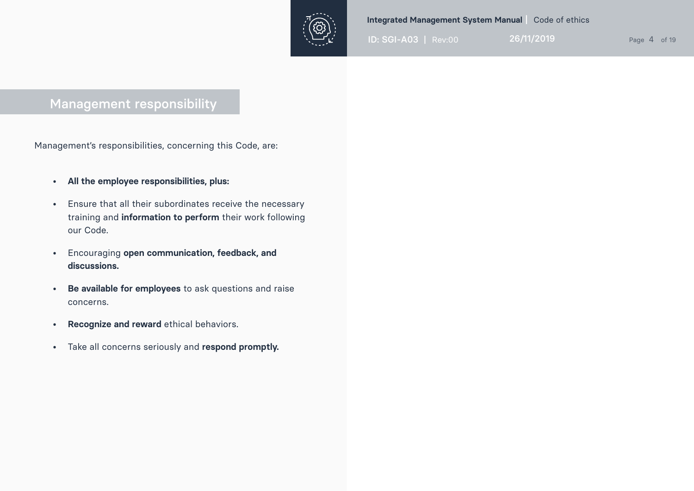

ID: SGI-A03 | Rev:00 26/11/2019 Page 4 of 19

### Management responsibility

Management's responsibilities, concerning this Code, are:

- **• All the employee responsibilities, plus:**
- Ensure that all their subordinates receive the necessary training and **information to perform** their work following our Code.
- Encouraging **open communication, feedback, and discussions.**
- **• Be available for employees** to ask questions and raise concerns.
- **• Recognize and reward** ethical behaviors.
- Take all concerns seriously and **respond promptly.**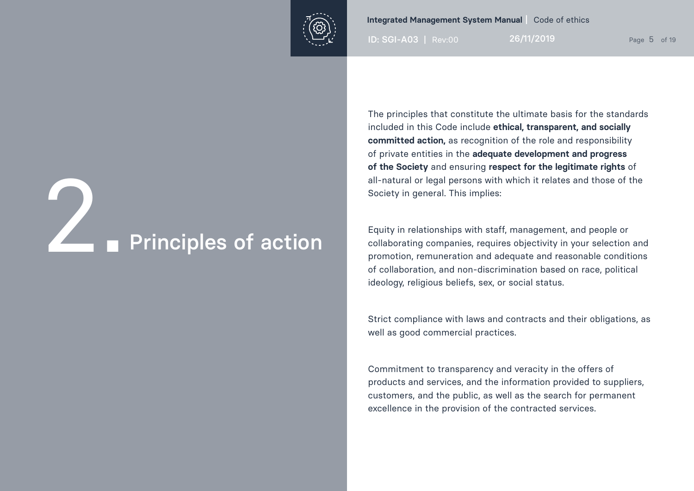

ID: SGI-A03 | Rev:00 26/11/2019 Page 5 of 19

# **2. Principles of action**

The principles that constitute the ultimate basis for the standards included in this Code include **ethical, transparent, and socially committed action,** as recognition of the role and responsibility of private entities in the **adequate development and progress of the Society** and ensuring **respect for the legitimate rights** of all-natural or legal persons with which it relates and those of the Society in general. This implies:

Equity in relationships with staff, management, and people or collaborating companies, requires objectivity in your selection and promotion, remuneration and adequate and reasonable conditions of collaboration, and non-discrimination based on race, political ideology, religious beliefs, sex, or social status.

Strict compliance with laws and contracts and their obligations, as well as good commercial practices.

Commitment to transparency and veracity in the offers of products and services, and the information provided to suppliers, customers, and the public, as well as the search for permanent excellence in the provision of the contracted services.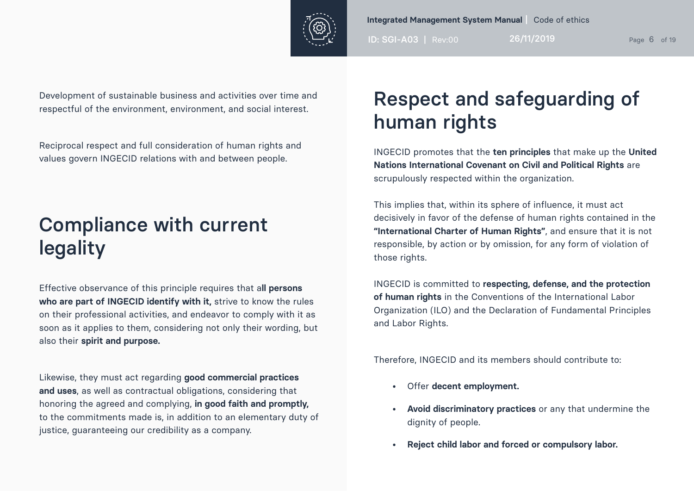

ID: SGI-A03 | Rev:00 26/11/2019 Page 6 of 19

Development of sustainable business and activities over time and respectful of the environment, environment, and social interest.

Reciprocal respect and full consideration of human rights and values govern INGECID relations with and between people.

## Compliance with current legality

Effective observance of this principle requires that a**ll persons who are part of INGECID identify with it,** strive to know the rules on their professional activities, and endeavor to comply with it as soon as it applies to them, considering not only their wording, but also their **spirit and purpose.**

Likewise, they must act regarding **good commercial practices and uses**, as well as contractual obligations, considering that honoring the agreed and complying, **in good faith and promptly,** to the commitments made is, in addition to an elementary duty of justice, guaranteeing our credibility as a company.

## Respect and safeguarding of human rights

INGECID promotes that the **ten principles** that make up the **United Nations International Covenant on Civil and Political Rights** are scrupulously respected within the organization.

This implies that, within its sphere of influence, it must act decisively in favor of the defense of human rights contained in the **"International Charter of Human Rights"**, and ensure that it is not responsible, by action or by omission, for any form of violation of those rights.

INGECID is committed to **respecting, defense, and the protection of human rights** in the Conventions of the International Labor Organization (ILO) and the Declaration of Fundamental Principles and Labor Rights.

Therefore, INGECID and its members should contribute to:

- Offer **decent employment.**
- **• Avoid discriminatory practices** or any that undermine the dignity of people.
- **• Reject child labor and forced or compulsory labor.**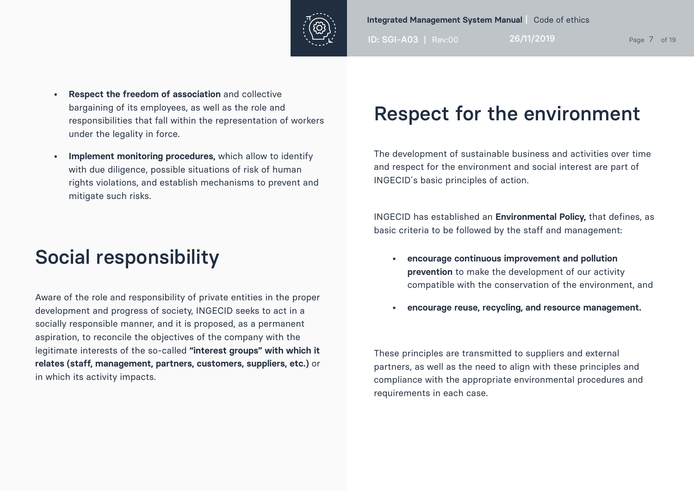

ID: SGI-A03 | Rev:00 26/11/2019 Page 7 of 19

- **• Respect the freedom of association** and collective bargaining of its employees, as well as the role and responsibilities that fall within the representation of workers under the legality in force.
- **• Implement monitoring procedures,** which allow to identify with due diligence, possible situations of risk of human rights violations, and establish mechanisms to prevent and mitigate such risks.

## Social responsibility

Aware of the role and responsibility of private entities in the proper development and progress of society, INGECID seeks to act in a socially responsible manner, and it is proposed, as a permanent aspiration, to reconcile the objectives of the company with the legitimate interests of the so-called **"interest groups" with which it relates (staff, management, partners, customers, suppliers, etc.)** or in which its activity impacts.

## Respect for the environment

The development of sustainable business and activities over time and respect for the environment and social interest are part of INGECID´s basic principles of action.

INGECID has established an **Environmental Policy,** that defines, as basic criteria to be followed by the staff and management:

- **• encourage continuous improvement and pollution prevention** to make the development of our activity compatible with the conservation of the environment, and
- **• encourage reuse, recycling, and resource management.**

These principles are transmitted to suppliers and external partners, as well as the need to align with these principles and compliance with the appropriate environmental procedures and requirements in each case.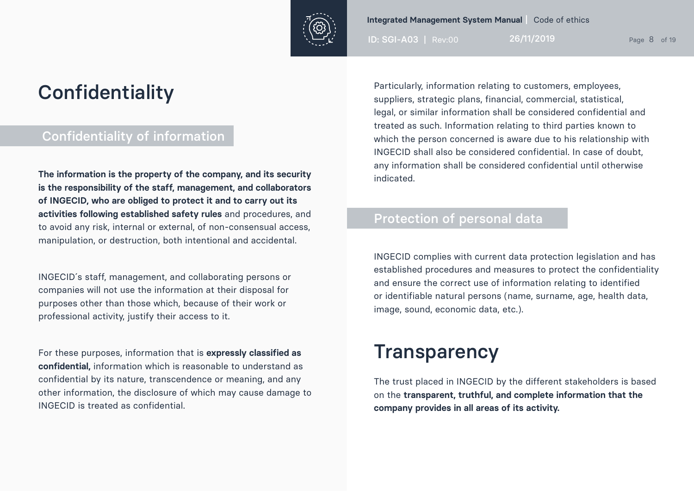

ID: SGI-A03 | Rev:00 26/11/2019 Page 8 of 19

## **Confidentiality**

### Confidentiality of information

**The information is the property of the company, and its security is the responsibility of the staff, management, and collaborators of INGECID, who are obliged to protect it and to carry out its activities following established safety rules** and procedures, and to avoid any risk, internal or external, of non-consensual access, manipulation, or destruction, both intentional and accidental.

INGECID´s staff, management, and collaborating persons or companies will not use the information at their disposal for purposes other than those which, because of their work or professional activity, justify their access to it.

For these purposes, information that is **expressly classified as confidential,** information which is reasonable to understand as confidential by its nature, transcendence or meaning, and any other information, the disclosure of which may cause damage to INGECID is treated as confidential.

Particularly, information relating to customers, employees, suppliers, strategic plans, financial, commercial, statistical, legal, or similar information shall be considered confidential and treated as such. Information relating to third parties known to which the person concerned is aware due to his relationship with INGECID shall also be considered confidential. In case of doubt, any information shall be considered confidential until otherwise indicated.

### Protection of personal data

INGECID complies with current data protection legislation and has established procedures and measures to protect the confidentiality and ensure the correct use of information relating to identified or identifiable natural persons (name, surname, age, health data, image, sound, economic data, etc.).

### **Transparency**

The trust placed in INGECID by the different stakeholders is based on the **transparent, truthful, and complete information that the company provides in all areas of its activity.**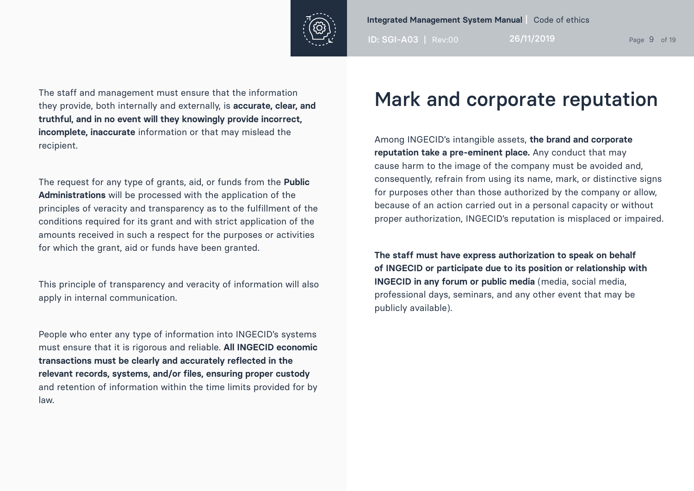

ID: SGI-A03 | Rev:00 26/11/2019 Page 9 of 19

The staff and management must ensure that the information they provide, both internally and externally, is **accurate, clear, and truthful, and in no event will they knowingly provide incorrect, incomplete, inaccurate** information or that may mislead the recipient.

The request for any type of grants, aid, or funds from the **Public Administrations** will be processed with the application of the principles of veracity and transparency as to the fulfillment of the conditions required for its grant and with strict application of the amounts received in such a respect for the purposes or activities for which the grant, aid or funds have been granted.

This principle of transparency and veracity of information will also apply in internal communication.

People who enter any type of information into INGECID's systems must ensure that it is rigorous and reliable. **All INGECID economic transactions must be clearly and accurately reflected in the relevant records, systems, and/or files, ensuring proper custody**  and retention of information within the time limits provided for by law.

## Mark and corporate reputation

Among INGECID's intangible assets, **the brand and corporate reputation take a pre-eminent place.** Any conduct that may cause harm to the image of the company must be avoided and, consequently, refrain from using its name, mark, or distinctive signs for purposes other than those authorized by the company or allow, because of an action carried out in a personal capacity or without proper authorization, INGECID's reputation is misplaced or impaired.

**The staff must have express authorization to speak on behalf of INGECID or participate due to its position or relationship with INGECID in any forum or public media** (media, social media, professional days, seminars, and any other event that may be publicly available).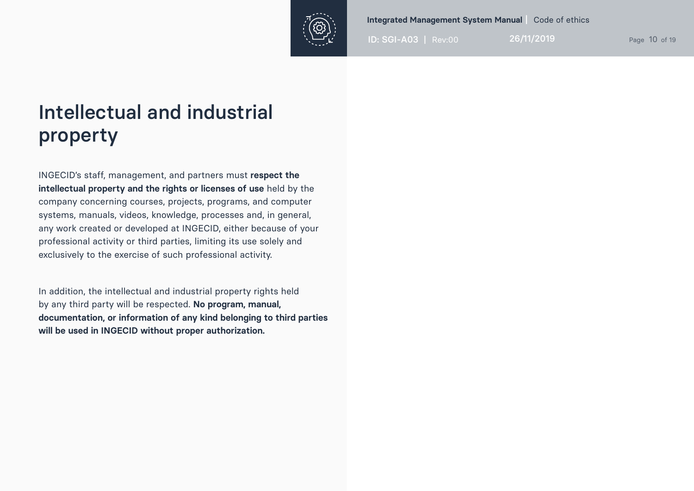

ID: SGI-A03 | Rev:00 26/11/2019 Page 10 of 19

## Intellectual and industrial property

INGECID's staff, management, and partners must **respect the intellectual property and the rights or licenses of use** held by the company concerning courses, projects, programs, and computer systems, manuals, videos, knowledge, processes and, in general, any work created or developed at INGECID, either because of your professional activity or third parties, limiting its use solely and exclusively to the exercise of such professional activity.

In addition, the intellectual and industrial property rights held by any third party will be respected. **No program, manual, documentation, or information of any kind belonging to third parties will be used in INGECID without proper authorization.**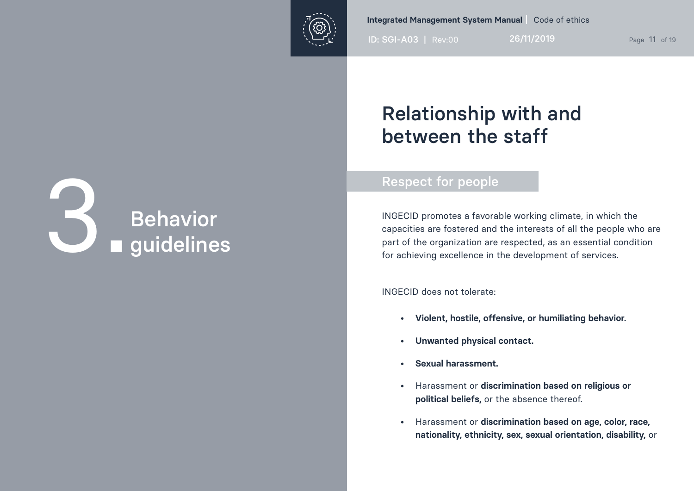

ID: SGI-A03 | Rev:00 26/11/2019 Page 11 of 19

## Relationship with and between the staff

### Respect for people

INGECID promotes a favorable working climate, in which the capacities are fostered and the interests of all the people who are part of the organization are respected, as an essential condition for achieving excellence in the development of services.

INGECID does not tolerate:

- **• Violent, hostile, offensive, or humiliating behavior.**
- **• Unwanted physical contact.**
- **• Sexual harassment.**
- Harassment or **discrimination based on religious or political beliefs,** or the absence thereof.
- Harassment or **discrimination based on age, color, race, nationality, ethnicity, sex, sexual orientation, disability,** or

# Behavior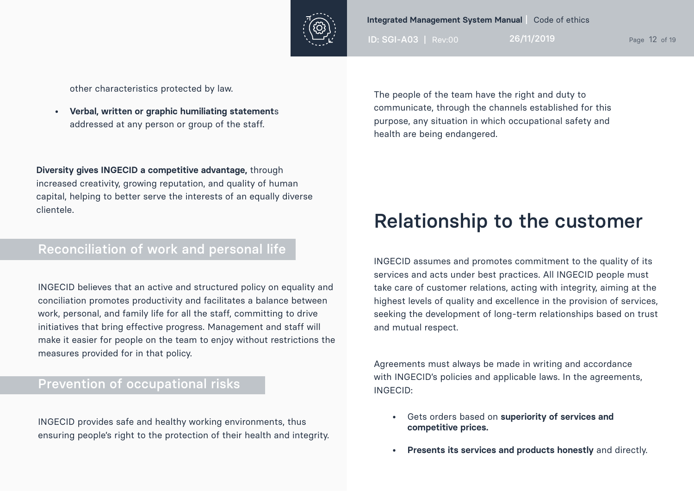

ID: SGI-A03 | Rev:00 26/11/2019 Page 12 of 19

other characteristics protected by law.

**• Verbal, written or graphic humiliating statement**s addressed at any person or group of the staff.

**Diversity gives INGECID a competitive advantage,** through increased creativity, growing reputation, and quality of human capital, helping to better serve the interests of an equally diverse clientele.

### Reconciliation of work and personal life

INGECID believes that an active and structured policy on equality and conciliation promotes productivity and facilitates a balance between work, personal, and family life for all the staff, committing to drive initiatives that bring effective progress. Management and staff will make it easier for people on the team to enjoy without restrictions the measures provided for in that policy.

### Prevention of occupational risks

INGECID provides safe and healthy working environments, thus ensuring people's right to the protection of their health and integrity. The people of the team have the right and duty to communicate, through the channels established for this purpose, any situation in which occupational safety and health are being endangered.

### Relationship to the customer

INGECID assumes and promotes commitment to the quality of its services and acts under best practices. All INGECID people must take care of customer relations, acting with integrity, aiming at the highest levels of quality and excellence in the provision of services, seeking the development of long-term relationships based on trust and mutual respect.

Agreements must always be made in writing and accordance with INGECID's policies and applicable laws. In the agreements, INGECID:

- Gets orders based on **superiority of services and competitive prices.**
- **• Presents its services and products honestly** and directly.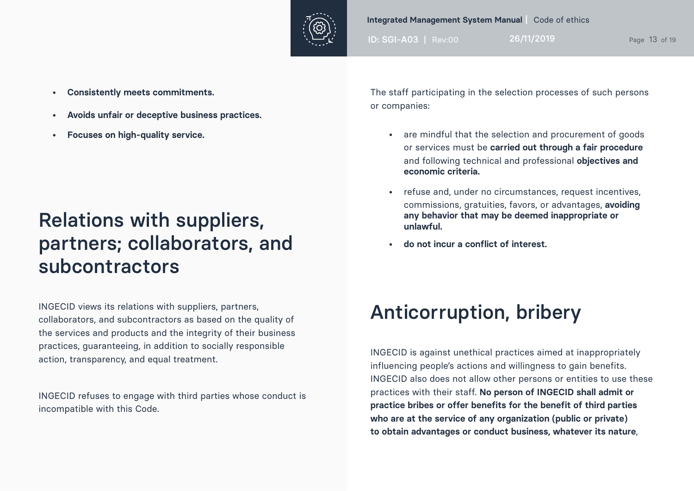

ID: SGI-A03 | Rev:00 26/11/2019 Page 13 of 19

- **• Consistently meets commitments.**
- **• Avoids unfair or deceptive business practices.**
- **• Focuses on high-quality service.**

## Relations with suppliers, partners; collaborators, and subcontractors

INGECID views its relations with suppliers, partners, collaborators, and subcontractors as based on the quality of the services and products and the integrity of their business practices, guaranteeing, in addition to socially responsible action, transparency, and equal treatment.

INGECID refuses to engage with third parties whose conduct is incompatible with this Code.

The staff participating in the selection processes of such persons or companies:

- are mindful that the selection and procurement of goods or services must be **carried out through a fair procedure** and following technical and professional **objectives and economic criteria.**
- refuse and, under no circumstances, request incentives, commissions, gratuities, favors, or advantages, **avoiding any behavior that may be deemed inappropriate or unlawful.**
- **• do not incur a conflict of interest.**

## Anticorruption, bribery

INGECID is against unethical practices aimed at inappropriately influencing people's actions and willingness to gain benefits. INGECID also does not allow other persons or entities to use these practices with their staff. **No person of INGECID shall admit or practice bribes or offer benefits for the benefit of third parties who are at the service of any organization (public or private) to obtain advantages or conduct business, whatever its nature**,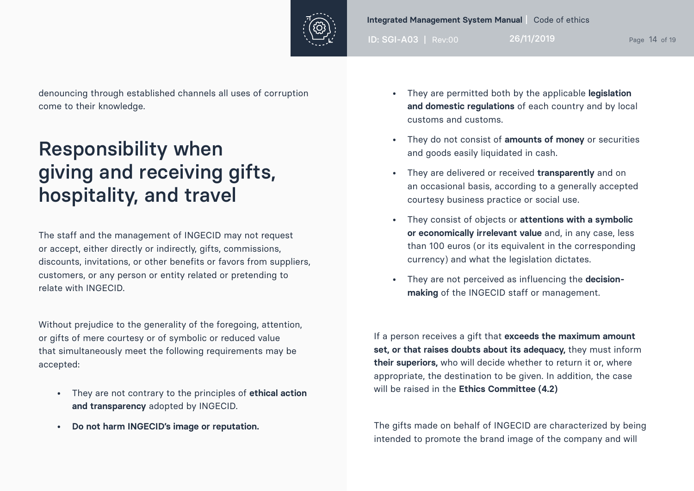

ID: SGI-A03 | Rev:00 26/11/2019 Page 14 of 19

denouncing through established channels all uses of corruption come to their knowledge.

## Responsibility when giving and receiving gifts, hospitality, and travel

The staff and the management of INGECID may not request or accept, either directly or indirectly, gifts, commissions, discounts, invitations, or other benefits or favors from suppliers, customers, or any person or entity related or pretending to relate with INGECID.

Without prejudice to the generality of the foregoing, attention, or gifts of mere courtesy or of symbolic or reduced value that simultaneously meet the following requirements may be accepted:

- They are not contrary to the principles of **ethical action and transparency** adopted by INGECID.
- **• Do not harm INGECID's image or reputation.**
- They are permitted both by the applicable **legislation and domestic regulations** of each country and by local customs and customs.
- They do not consist of **amounts of money** or securities and goods easily liquidated in cash.
- They are delivered or received **transparently** and on an occasional basis, according to a generally accepted courtesy business practice or social use.
- They consist of objects or **attentions with a symbolic or economically irrelevant value** and, in any case, less than 100 euros (or its equivalent in the corresponding currency) and what the legislation dictates.
- They are not perceived as influencing the **decisionmaking** of the INGECID staff or management.

If a person receives a gift that **exceeds the maximum amount set, or that raises doubts about its adequacy,** they must inform **their superiors,** who will decide whether to return it or, where appropriate, the destination to be given. In addition, the case will be raised in the **Ethics Committee (4.2)**

The gifts made on behalf of INGECID are characterized by being intended to promote the brand image of the company and will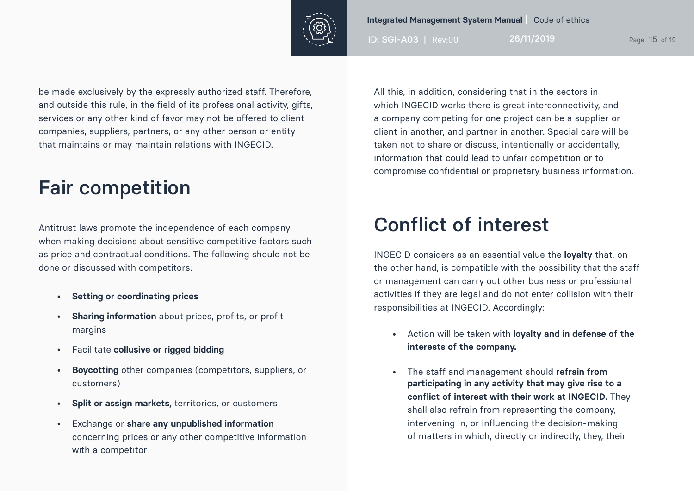

ID: SGI-A03 | Rev:00 26/11/2019 Page 15 of 19

be made exclusively by the expressly authorized staff. Therefore, and outside this rule, in the field of its professional activity, gifts, services or any other kind of favor may not be offered to client companies, suppliers, partners, or any other person or entity that maintains or may maintain relations with INGECID.

## Fair competition

Antitrust laws promote the independence of each company when making decisions about sensitive competitive factors such as price and contractual conditions. The following should not be done or discussed with competitors:

- **• Setting or coordinating prices**
- **• Sharing information** about prices, profits, or profit margins
- Facilitate **collusive or rigged bidding**
- **• Boycotting** other companies (competitors, suppliers, or customers)
- **• Split or assign markets,** territories, or customers
- Exchange or **share any unpublished information** concerning prices or any other competitive information with a competitor

All this, in addition, considering that in the sectors in which INGECID works there is great interconnectivity, and a company competing for one project can be a supplier or client in another, and partner in another. Special care will be taken not to share or discuss, intentionally or accidentally, information that could lead to unfair competition or to compromise confidential or proprietary business information.

## Conflict of interest

INGECID considers as an essential value the **loyalty** that, on the other hand, is compatible with the possibility that the staff or management can carry out other business or professional activities if they are legal and do not enter collision with their responsibilities at INGECID. Accordingly:

- Action will be taken with **loyalty and in defense of the interests of the company.**
- The staff and management should **refrain from participating in any activity that may give rise to a conflict of interest with their work at INGECID.** They shall also refrain from representing the company, intervening in, or influencing the decision-making of matters in which, directly or indirectly, they, their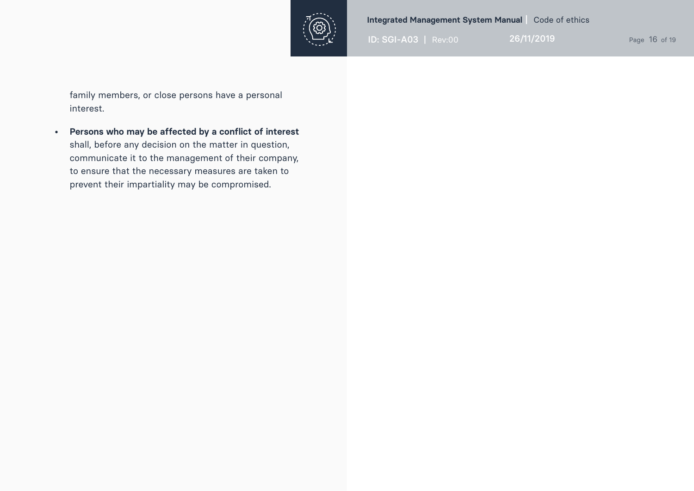

ID: SGI-A03 | Rev:00 26/11/2019 Page 16 of 19

family members, or close persons have a personal interest.

**• Persons who may be affected by a conflict of interest**  shall, before any decision on the matter in question, communicate it to the management of their company, to ensure that the necessary measures are taken to prevent their impartiality may be compromised.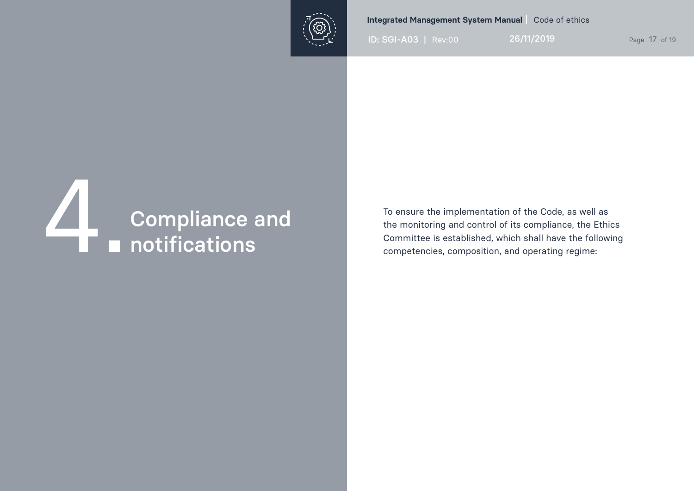

ID: SGI-A03 | Rev:00 26/11/2019 Page 17 of 19

# **ZAND Compliance and 4.1 Compliance and 4.1 Compliance and 4.1 Compliance and 4.1 Compliance and 4.1 Compliance and 4.1 Compliance and 4.1 Compliance and 4.1 Compliance and 4.1 Compliance and 4.1 Compliance and 4.1 Complia**

To ensure the implementation of the Code, as well as the monitoring and control of its compliance, the Ethics Committee is established, which shall have the following competencies, composition, and operating regime: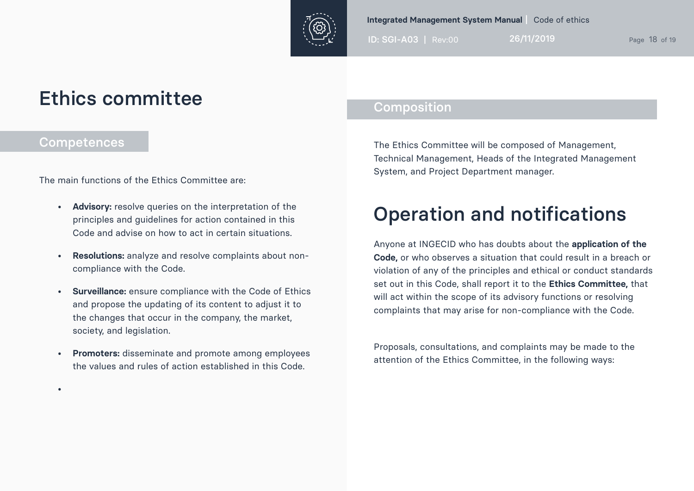

ID: SGI-A03 | Rev:00 26/11/2019 Page 18 of 19

### Ethics committee

### **Competences**

•

The main functions of the Ethics Committee are:

- **• Advisory:** resolve queries on the interpretation of the principles and guidelines for action contained in this Code and advise on how to act in certain situations.
- **• Resolutions:** analyze and resolve complaints about noncompliance with the Code.
- **• Surveillance:** ensure compliance with the Code of Ethics and propose the updating of its content to adjust it to the changes that occur in the company, the market, society, and legislation.
- **• Promoters:** disseminate and promote among employees the values and rules of action established in this Code.

### Composition

The Ethics Committee will be composed of Management, Technical Management, Heads of the Integrated Management System, and Project Department manager.

## Operation and notifications

Anyone at INGECID who has doubts about the **application of the Code,** or who observes a situation that could result in a breach or violation of any of the principles and ethical or conduct standards set out in this Code, shall report it to the **Ethics Committee,** that will act within the scope of its advisory functions or resolving complaints that may arise for non-compliance with the Code.

Proposals, consultations, and complaints may be made to the attention of the Ethics Committee, in the following ways: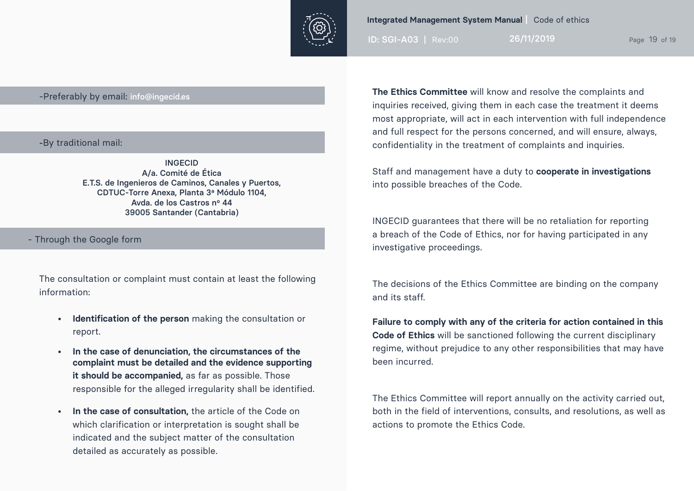

ID: SGI-A03 | Rev:00 26/11/2019 Page 19 of 19

### -Preferably by email: info@ingecid.es

### -By traditional mail:

INGECID A/a. Comité de Ética E.T.S. de Ingenieros de Caminos, Canales y Puertos, CDTUC-Torre Anexa, Planta 3ª Módulo 1104, Avda. de los Castros nº 44 39005 Santander (Cantabria)

- Through the Google form

The consultation or complaint must contain at least the following information:

- **• Identification of the person** making the consultation or report.
- **• In the case of denunciation, the circumstances of the complaint must be detailed and the evidence supporting it should be accompanied,** as far as possible. Those responsible for the alleged irregularity shall be identified.
- **• In the case of consultation,** the article of the Code on which clarification or interpretation is sought shall be indicated and the subject matter of the consultation detailed as accurately as possible.

**The Ethics Committee** will know and resolve the complaints and inquiries received, giving them in each case the treatment it deems most appropriate, will act in each intervention with full independence and full respect for the persons concerned, and will ensure, always, confidentiality in the treatment of complaints and inquiries.

Staff and management have a duty to **cooperate in investigations** into possible breaches of the Code.

INGECID guarantees that there will be no retaliation for reporting a breach of the Code of Ethics, nor for having participated in any investigative proceedings.

The decisions of the Ethics Committee are binding on the company and its staff.

**Failure to comply with any of the criteria for action contained in this Code of Ethics** will be sanctioned following the current disciplinary regime, without prejudice to any other responsibilities that may have been incurred.

The Ethics Committee will report annually on the activity carried out, both in the field of interventions, consults, and resolutions, as well as actions to promote the Ethics Code.